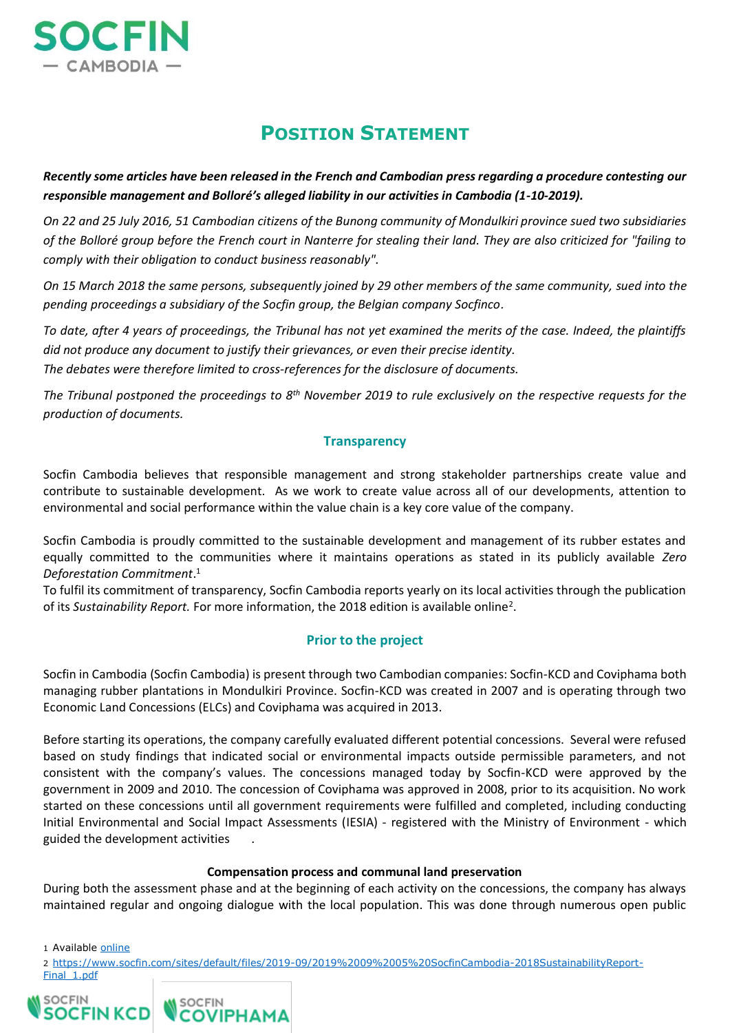

# **POSITION STATEMENT**

*Recently some articles have been released in the French and Cambodian press regarding a procedure contesting our responsible management and Bolloré's alleged liability in our activities in Cambodia (1-10-2019).*

*On 22 and 25 July 2016, 51 Cambodian citizens of the Bunong community of Mondulkiri province sued two subsidiaries of the Bolloré group before the French court in Nanterre for stealing their land. They are also criticized for "failing to comply with their obligation to conduct business reasonably".*

*On 15 March 2018 the same persons, subsequently joined by 29 other members of the same community, sued into the pending proceedings a subsidiary of the Socfin group, the Belgian company Socfinco.*

*To date, after 4 years of proceedings, the Tribunal has not yet examined the merits of the case. Indeed, the plaintiffs did not produce any document to justify their grievances, or even their precise identity.*

*The debates were therefore limited to cross-references for the disclosure of documents.*

*The Tribunal postponed the proceedings to 8th November 2019 to rule exclusively on the respective requests for the production of documents.*

## **Transparency**

Socfin Cambodia believes that responsible management and strong stakeholder partnerships create value and contribute to sustainable development. As we work to create value across all of our developments, attention to environmental and social performance within the value chain is a key core value of the company.

Socfin Cambodia is proudly committed to the sustainable development and management of its rubber estates and equally committed to the communities where it maintains operations as stated in its publicly available *Zero Deforestation Commitment*. 1

To fulfil its commitment of transparency, Socfin Cambodia reports yearly on its local activities through the publication of its Sustainability Report. For more information, the 2018 edition is available online<sup>2</sup>.

# **Prior to the project**

Socfin in Cambodia (Socfin Cambodia) is present through two Cambodian companies: Socfin-KCD and Coviphama both managing rubber plantations in Mondulkiri Province. Socfin-KCD was created in 2007 and is operating through two Economic Land Concessions (ELCs) and Coviphama was acquired in 2013.

Before starting its operations, the company carefully evaluated different potential concessions. Several were refused based on study findings that indicated social or environmental impacts outside permissible parameters, and not consistent with the company's values. The concessions managed today by Socfin-KCD were approved by the government in 2009 and 2010. The concession of Coviphama was approved in 2008, prior to its acquisition. No work started on these concessions until all government requirements were fulfilled and completed, including conducting Initial Environmental and Social Impact Assessments (IESIA) - registered with the Ministry of Environment - which guided the development activities .

#### **Compensation process and communal land preservation**

During both the assessment phase and at the beginning of each activity on the concessions, the company has always maintained regular and ongoing dialogue with the local population. This was done through numerous open public

1 Available [online](https://www.socfin.com/sites/default/files/2019-01/SOCFINCambodia-0deforestationCom_Final.pdf)

2 [https://www.socfin.com/sites/default/files/2019-09/2019%2009%2005%20SocfinCambodia-2018SustainabilityReport-](https://www.socfin.com/sites/default/files/2019-09/2019%2009%2005%20SocfinCambodia-2018SustainabilityReport-Final_1.pdf)[Final\\_1.pdf](https://www.socfin.com/sites/default/files/2019-09/2019%2009%2005%20SocfinCambodia-2018SustainabilityReport-Final_1.pdf)

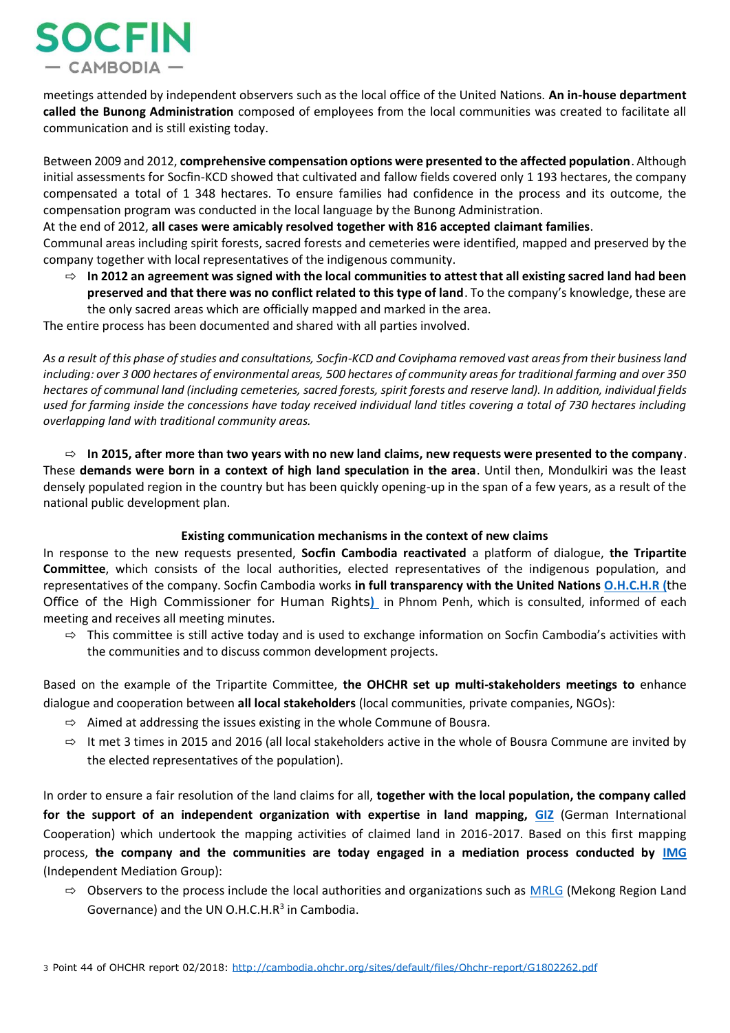

meetings attended by independent observers such as the local office of the United Nations. **An in-house department called the Bunong Administration** composed of employees from the local communities was created to facilitate all communication and is still existing today.

Between 2009 and 2012, **comprehensive compensation options were presented to the affected population**. Although initial assessments for Socfin-KCD showed that cultivated and fallow fields covered only 1 193 hectares, the company compensated a total of 1 348 hectares. To ensure families had confidence in the process and its outcome, the compensation program was conducted in the local language by the Bunong Administration.

At the end of 2012, **all cases were amicably resolved together with 816 accepted claimant families**.

Communal areas including spirit forests, sacred forests and cemeteries were identified, mapped and preserved by the company together with local representatives of the indigenous community.

⇨ **In 2012 an agreement was signed with the local communities to attest that all existing sacred land had been preserved and that there was no conflict related to this type of land**. To the company's knowledge, these are the only sacred areas which are officially mapped and marked in the area.

The entire process has been documented and shared with all parties involved.

*As a result of this phase of studies and consultations, Socfin-KCD and Coviphama removed vast areas from their business land including: over 3 000 hectares of environmental areas, 500 hectares of community areas for traditional farming and over 350 hectares of communal land (including cemeteries, sacred forests, spirit forests and reserve land). In addition, individual fields used for farming inside the concessions have today received individual land titles covering a total of 730 hectares including overlapping land with traditional community areas.*

⇨ **In 2015, after more than two years with no new land claims, new requests were presented to the company**. These **demands were born in a context of high land speculation in the area**. Until then, Mondulkiri was the least densely populated region in the country but has been quickly opening-up in the span of a few years, as a result of the national public development plan.

#### **Existing communication mechanisms in the context of new claims**

In response to the new requests presented, **Socfin Cambodia reactivated** a platform of dialogue, **the Tripartite Committee**, which consists of the local authorities, elected representatives of the indigenous population, and representatives of the company. Socfin Cambodia works **in full transparency with the United Nations [O.H.C.H.R](https://cambodia.ohchr.org/) (**the Office of the High Commissioner for Human Rights**)** in Phnom Penh, which is consulted, informed of each meeting and receives all meeting minutes.

 $\Rightarrow$  This committee is still active today and is used to exchange information on Socfin Cambodia's activities with the communities and to discuss common development projects.

Based on the example of the Tripartite Committee, **the OHCHR set up multi-stakeholders meetings to** enhance dialogue and cooperation between **all local stakeholders** (local communities, private companies, NGOs):

- $\Rightarrow$  Aimed at addressing the issues existing in the whole Commune of Bousra.
- $\Rightarrow$  It met 3 times in 2015 and 2016 (all local stakeholders active in the whole of Bousra Commune are invited by the elected representatives of the population).

In order to ensure a fair resolution of the land claims for all, **together with the local population, the company called for the support of an independent organization with expertise in land mapping, [GIZ](http://giz-cambodia.com/)** (German International Cooperation) which undertook the mapping activities of claimed land in 2016-2017. Based on this first mapping process, **the company and the communities are today engaged in a mediation process conducted by [IMG](http://img-cambodia.org/en/)** (Independent Mediation Group):

 $\Rightarrow$  Observers to the process include the local authorities and organizations such as [MRLG](https://www.mrlg.org/cambodia/) (Mekong Region Land Governance) and the UN O.H.C.H.R<sup>3</sup> in Cambodia.